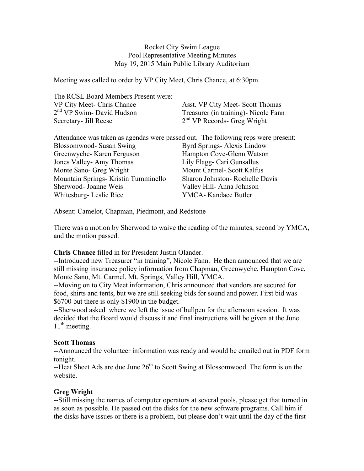## Rocket City Swim League Pool Representative Meeting Minutes May 19, 2015 Main Public Library Auditorium

Meeting was called to order by VP City Meet, Chris Chance, at 6:30pm.

| The RCSL Board Members Present were:                                              |                                         |
|-----------------------------------------------------------------------------------|-----------------------------------------|
| VP City Meet- Chris Chance                                                        | Asst. VP City Meet-Scott Thomas         |
| 2 <sup>nd</sup> VP Swim- David Hudson                                             | Treasurer (in training) - Nicole Fann   |
| Secretary- Jill Reese                                                             | 2 <sup>nd</sup> VP Records- Greg Wright |
| Attendance was taken as agendas were passed out. The following reps were present: |                                         |
| Blossomwood- Susan Swing                                                          | Byrd Springs-Alexis Lindow              |
| Greenwyche-Karen Ferguson                                                         | Hampton Cove-Glenn Watson               |
| Jones Valley-Amy Thomas                                                           | Lily Flagg- Cari Gunsallus              |
| Monte Sano- Greg Wright                                                           | Mount Carmel- Scott Kalfus              |
| Mountain Springs- Kristin Tumminello                                              | Sharon Johnston- Rochelle Davis         |
| Sherwood- Joanne Weis                                                             | Valley Hill-Anna Johnson                |
| Whitesburg-Leslie Rice                                                            | YMCA-Kandace Butler                     |

Absent: Camelot, Chapman, Piedmont, and Redstone

There was a motion by Sherwood to waive the reading of the minutes, second by YMCA, and the motion passed.

# **Chris Chance** filled in for President Justin Olander.

--Introduced new Treasurer "in training", Nicole Fann. He then announced that we are still missing insurance policy information from Chapman, Greenwyche, Hampton Cove, Monte Sano, Mt. Carmel, Mt. Springs, Valley Hill, YMCA.

--Moving on to City Meet information, Chris announced that vendors are secured for food, shirts and tents, but we are still seeking bids for sound and power. First bid was \$6700 but there is only \$1900 in the budget.

--Sherwood asked where we left the issue of bullpen for the afternoon session. It was decided that the Board would discuss it and final instructions will be given at the June  $11<sup>th</sup>$  meeting.

## **Scott Thomas**

--Announced the volunteer information was ready and would be emailed out in PDF form tonight.

--Heat Sheet Ads are due June 26<sup>th</sup> to Scott Swing at Blossomwood. The form is on the website.

## **Greg Wright**

--Still missing the names of computer operators at several pools, please get that turned in as soon as possible. He passed out the disks for the new software programs. Call him if the disks have issues or there is a problem, but please don't wait until the day of the first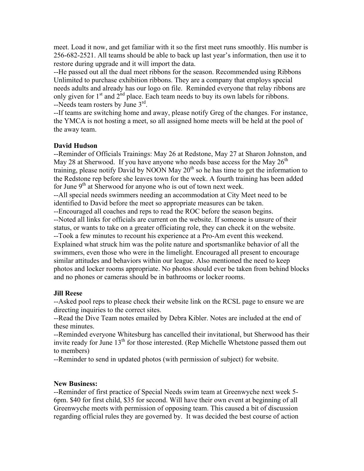meet. Load it now, and get familiar with it so the first meet runs smoothly. His number is 256-682-2521. All teams should be able to back up last year's information, then use it to restore during upgrade and it will import the data.

--He passed out all the dual meet ribbons for the season. Recommended using Ribbons Unlimited to purchase exhibition ribbons. They are a company that employs special needs adults and already has our logo on file. Reminded everyone that relay ribbons are only given for  $1<sup>st</sup>$  and  $2<sup>nd</sup>$  place. Each team needs to buy its own labels for ribbons. --Needs team rosters by June 3rd.

--If teams are switching home and away, please notify Greg of the changes. For instance, the YMCA is not hosting a meet, so all assigned home meets will be held at the pool of the away team.

#### **David Hudson**

--Reminder of Officials Trainings: May 26 at Redstone, May 27 at Sharon Johnston, and May 28 at Sherwood. If you have anyone who needs base access for the May  $26<sup>th</sup>$ training, please notify David by NOON May  $20<sup>th</sup>$  so he has time to get the information to the Redstone rep before she leaves town for the week. A fourth training has been added for June  $9<sup>th</sup>$  at Sherwood for anyone who is out of town next week. --All special needs swimmers needing an accommodation at City Meet need to be identified to David before the meet so appropriate measures can be taken. --Encouraged all coaches and reps to read the ROC before the season begins. --Noted all links for officials are current on the website. If someone is unsure of their status, or wants to take on a greater officiating role, they can check it on the website. --Took a few minutes to recount his experience at a Pro-Am event this weekend. Explained what struck him was the polite nature and sportsmanlike behavior of all the swimmers, even those who were in the limelight. Encouraged all present to encourage similar attitudes and behaviors within our league. Also mentioned the need to keep photos and locker rooms appropriate. No photos should ever be taken from behind blocks and no phones or cameras should be in bathrooms or locker rooms.

#### **Jill Reese**

--Asked pool reps to please check their website link on the RCSL page to ensure we are directing inquiries to the correct sites.

--Read the Dive Team notes emailed by Debra Kibler. Notes are included at the end of these minutes.

--Reminded everyone Whitesburg has cancelled their invitational, but Sherwood has their invite ready for June 13<sup>th</sup> for those interested. (Rep Michelle Whetstone passed them out to members)

--Reminder to send in updated photos (with permission of subject) for website.

#### **New Business:**

--Reminder of first practice of Special Needs swim team at Greenwyche next week 5- 6pm. \$40 for first child, \$35 for second. Will have their own event at beginning of all Greenwyche meets with permission of opposing team. This caused a bit of discussion regarding official rules they are governed by. It was decided the best course of action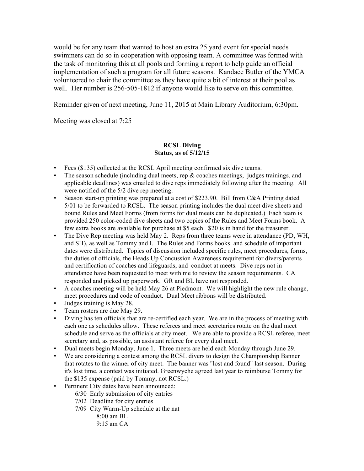would be for any team that wanted to host an extra 25 yard event for special needs swimmers can do so in cooperation with opposing team. A committee was formed with the task of monitoring this at all pools and forming a report to help guide an official implementation of such a program for all future seasons. Kandace Butler of the YMCA volunteered to chair the committee as they have quite a bit of interest at their pool as well. Her number is 256-505-1812 if anyone would like to serve on this committee.

Reminder given of next meeting, June 11, 2015 at Main Library Auditorium, 6:30pm.

Meeting was closed at 7:25

### **RCSL Diving Status, as of 5/12/15**

- Fees (\$135) collected at the RCSL April meeting confirmed six dive teams.
- The season schedule (including dual meets, rep  $\&$  coaches meetings, judges trainings, and applicable deadlines) was emailed to dive reps immediately following after the meeting. All were notified of the 5/2 dive rep meeting.
- Season start-up printing was prepared at a cost of \$223.90. Bill from C&A Printing dated 5/01 to be forwarded to RCSL. The season printing includes the dual meet dive sheets and bound Rules and Meet Forms (from forms for dual meets can be duplicated.) Each team is provided 250 color-coded dive sheets and two copies of the Rules and Meet Forms book. A few extra books are available for purchase at \$5 each. \$20 is in hand for the treasurer.
- The Dive Rep meeting was held May 2. Reps from three teams were in attendance (PD, WH, and SH), as well as Tommy and I. The Rules and Forms books and schedule of important dates were distributed. Topics of discussion included specific rules, meet procedures, forms, the duties of officials, the Heads Up Concussion Awareness requirement for divers/parents and certification of coaches and lifeguards, and conduct at meets. Dive reps not in attendance have been requested to meet with me to review the season requirements. CA responded and picked up paperwork. GR and BL have not responded.
- A coaches meeting will be held May 26 at Piedmont. We will highlight the new rule change, meet procedures and code of conduct. Dual Meet ribbons will be distributed.
- Judges training is May 28.
- Team rosters are due May 29.
- Diving has ten officials that are re-certified each year. We are in the process of meeting with each one as schedules allow. These referees and meet secretaries rotate on the dual meet schedule and serve as the officials at city meet. We are able to provide a RCSL referee, meet secretary and, as possible, an assistant referee for every dual meet.
- Dual meets begin Monday, June 1. Three meets are held each Monday through June 29.
- We are considering a contest among the RCSL divers to design the Championship Banner that rotates to the winner of city meet. The banner was "lost and found" last season. During it's lost time, a contest was initiated. Greenwyche agreed last year to reimburse Tommy for the \$135 expense (paid by Tommy, not RCSL.)
- Pertinent City dates have been announced:
	- 6/30 Early submission of city entries
	- 7/02 Deadline for city entries
	- 7/09 City Warm-Up schedule at the nat
		- 8:00 am BL
		- 9:15 am CA